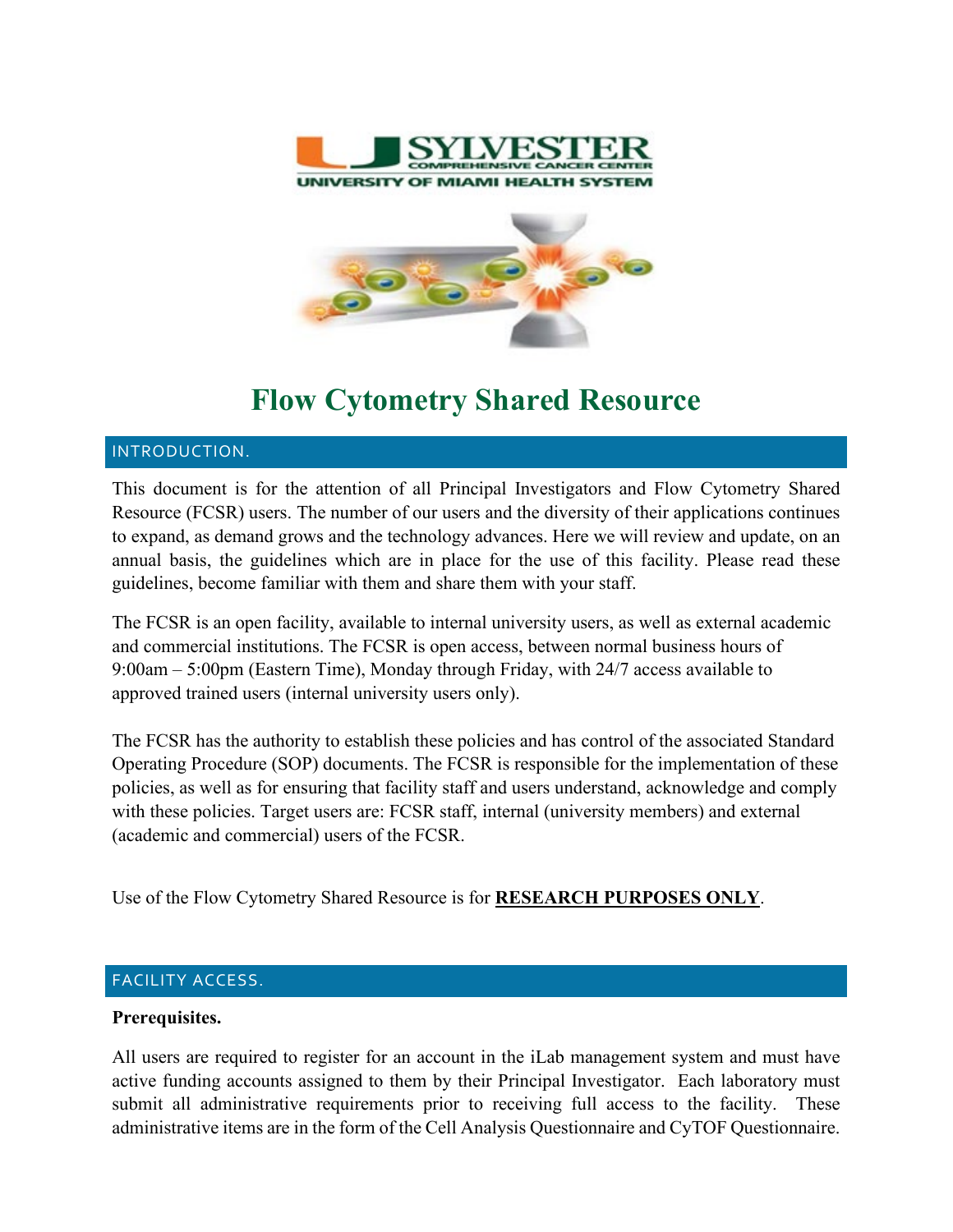



# **Flow Cytometry Shared Resource**

## INTRODUCTION.

This document is for the attention of all Principal Investigators and Flow Cytometry Shared Resource (FCSR) users. The number of our users and the diversity of their applications continues to expand, as demand grows and the technology advances. Here we will review and update, on an annual basis, the guidelines which are in place for the use of this facility. Please read these guidelines, become familiar with them and share them with your staff.

The FCSR is an open facility, available to internal university users, as well as external academic and commercial institutions. The FCSR is open access, between normal business hours of 9:00am – 5:00pm (Eastern Time), Monday through Friday, with 24/7 access available to approved trained users (internal university users only).

The FCSR has the authority to establish these policies and has control of the associated Standard Operating Procedure (SOP) documents. The FCSR is responsible for the implementation of these policies, as well as for ensuring that facility staff and users understand, acknowledge and comply with these policies. Target users are: FCSR staff, internal (university members) and external (academic and commercial) users of the FCSR.

Use of the Flow Cytometry Shared Resource is for **RESEARCH PURPOSES ONLY**.

# FACILITY ACCESS.

# **Prerequisites.**

All users are required to register for an account in the iLab management system and must have active funding accounts assigned to them by their Principal Investigator. Each laboratory must submit all administrative requirements prior to receiving full access to the facility. These administrative items are in the form of the Cell Analysis Questionnaire and CyTOF Questionnaire.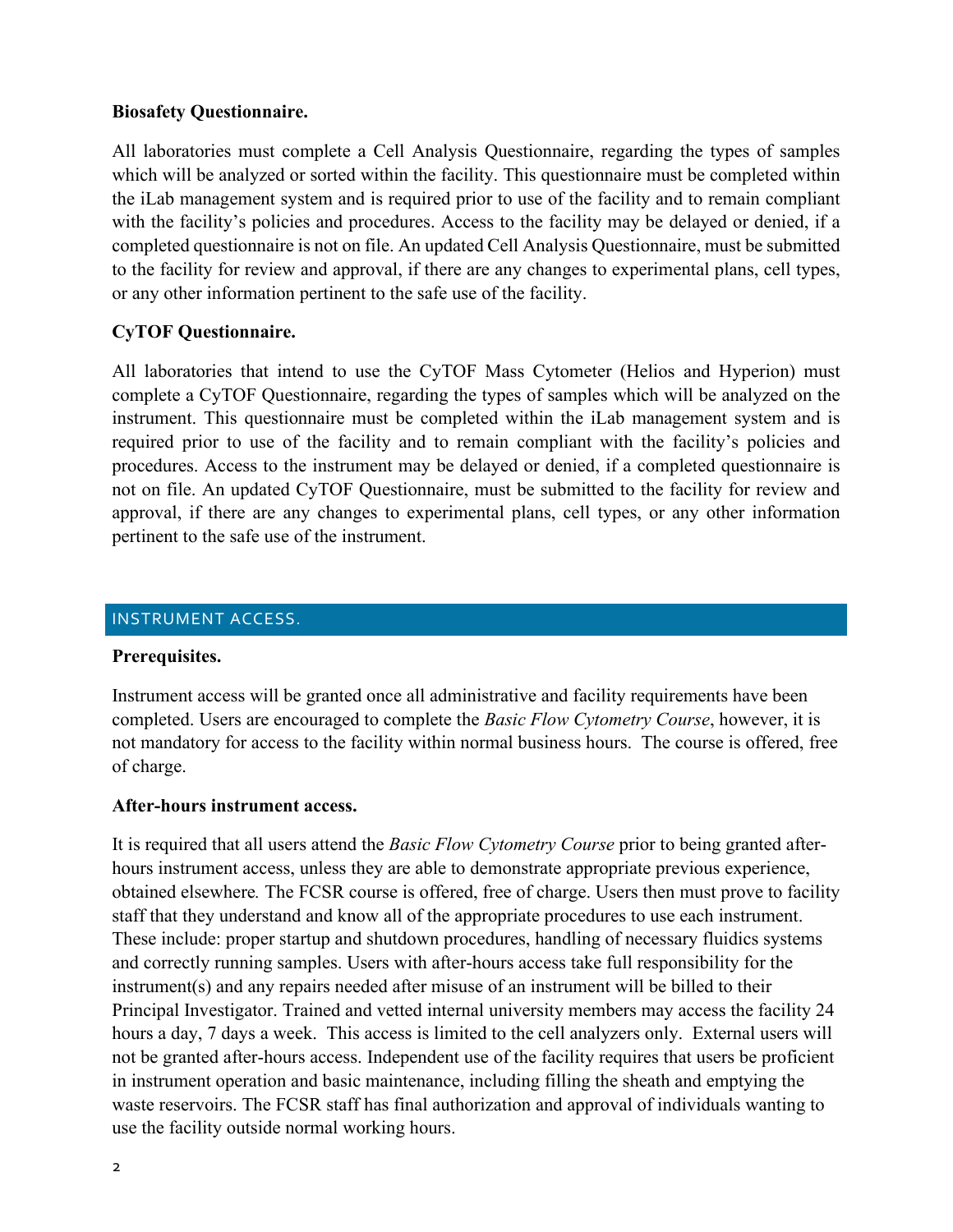## **Biosafety Questionnaire.**

All laboratories must complete a Cell Analysis Questionnaire, regarding the types of samples which will be analyzed or sorted within the facility. This questionnaire must be completed within the iLab management system and is required prior to use of the facility and to remain compliant with the facility's policies and procedures. Access to the facility may be delayed or denied, if a completed questionnaire is not on file. An updated Cell Analysis Questionnaire, must be submitted to the facility for review and approval, if there are any changes to experimental plans, cell types, or any other information pertinent to the safe use of the facility.

# **CyTOF Questionnaire.**

All laboratories that intend to use the CyTOF Mass Cytometer (Helios and Hyperion) must complete a CyTOF Questionnaire, regarding the types of samples which will be analyzed on the instrument. This questionnaire must be completed within the iLab management system and is required prior to use of the facility and to remain compliant with the facility's policies and procedures. Access to the instrument may be delayed or denied, if a completed questionnaire is not on file. An updated CyTOF Questionnaire, must be submitted to the facility for review and approval, if there are any changes to experimental plans, cell types, or any other information pertinent to the safe use of the instrument.

## INSTRUMENT ACCESS.

## **Prerequisites.**

Instrument access will be granted once all administrative and facility requirements have been completed. Users are encouraged to complete the *Basic Flow Cytometry Course*, however, it is not mandatory for access to the facility within normal business hours. The course is offered, free of charge.

# **After-hours instrument access.**

It is required that all users attend the *Basic Flow Cytometry Course* prior to being granted afterhours instrument access, unless they are able to demonstrate appropriate previous experience, obtained elsewhere*.* The FCSR course is offered, free of charge. Users then must prove to facility staff that they understand and know all of the appropriate procedures to use each instrument. These include: proper startup and shutdown procedures, handling of necessary fluidics systems and correctly running samples. Users with after-hours access take full responsibility for the instrument(s) and any repairs needed after misuse of an instrument will be billed to their Principal Investigator. Trained and vetted internal university members may access the facility 24 hours a day, 7 days a week. This access is limited to the cell analyzers only. External users will not be granted after-hours access. Independent use of the facility requires that users be proficient in instrument operation and basic maintenance, including filling the sheath and emptying the waste reservoirs. The FCSR staff has final authorization and approval of individuals wanting to use the facility outside normal working hours.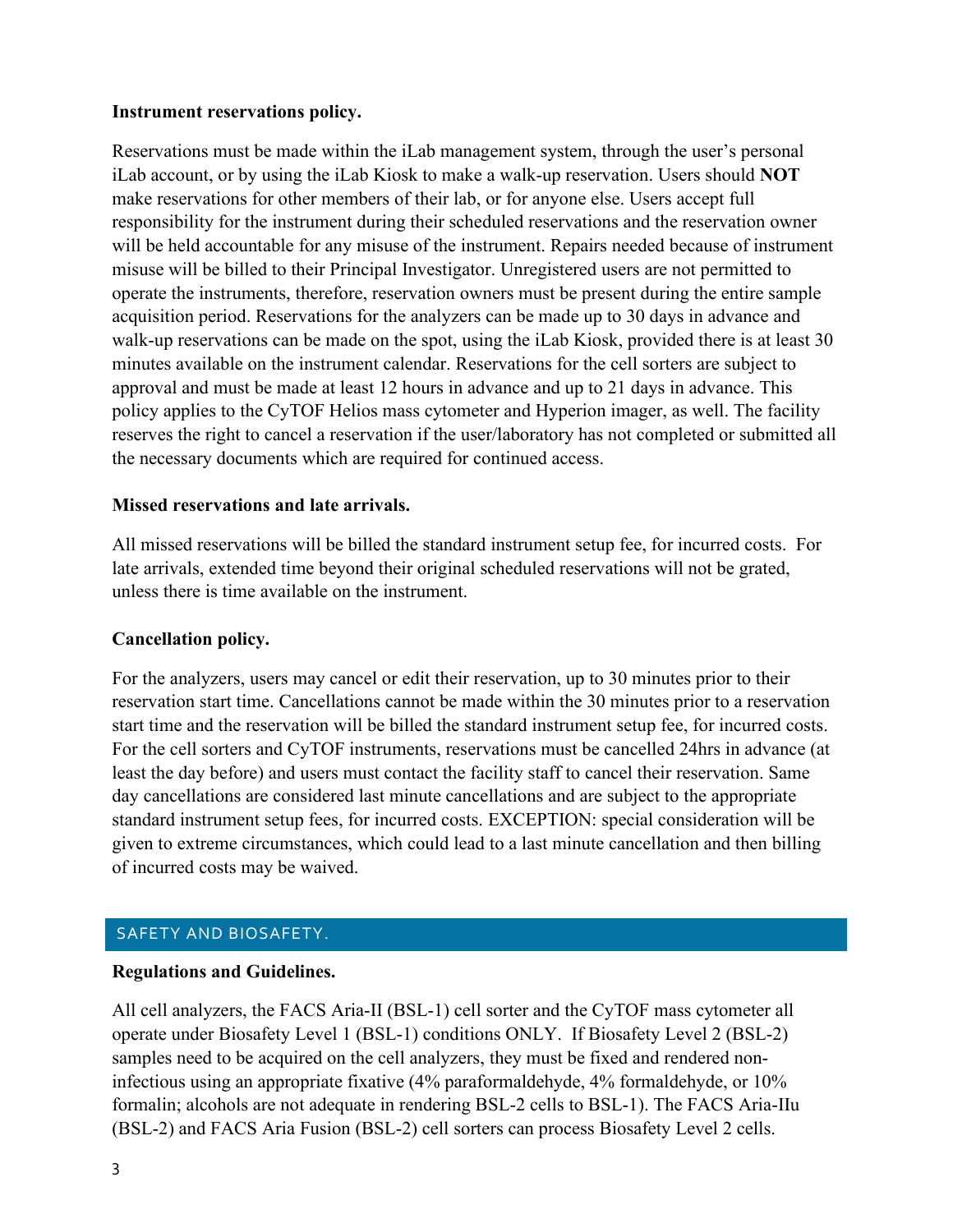## **Instrument reservations policy.**

Reservations must be made within the iLab management system, through the user's personal iLab account, or by using the iLab Kiosk to make a walk-up reservation. Users should **NOT** make reservations for other members of their lab, or for anyone else. Users accept full responsibility for the instrument during their scheduled reservations and the reservation owner will be held accountable for any misuse of the instrument. Repairs needed because of instrument misuse will be billed to their Principal Investigator. Unregistered users are not permitted to operate the instruments, therefore, reservation owners must be present during the entire sample acquisition period. Reservations for the analyzers can be made up to 30 days in advance and walk-up reservations can be made on the spot, using the iLab Kiosk, provided there is at least 30 minutes available on the instrument calendar. Reservations for the cell sorters are subject to approval and must be made at least 12 hours in advance and up to 21 days in advance. This policy applies to the CyTOF Helios mass cytometer and Hyperion imager, as well. The facility reserves the right to cancel a reservation if the user/laboratory has not completed or submitted all the necessary documents which are required for continued access.

## **Missed reservations and late arrivals.**

All missed reservations will be billed the standard instrument setup fee, for incurred costs. For late arrivals, extended time beyond their original scheduled reservations will not be grated, unless there is time available on the instrument.

# **Cancellation policy.**

For the analyzers, users may cancel or edit their reservation, up to 30 minutes prior to their reservation start time. Cancellations cannot be made within the 30 minutes prior to a reservation start time and the reservation will be billed the standard instrument setup fee, for incurred costs. For the cell sorters and CyTOF instruments, reservations must be cancelled 24hrs in advance (at least the day before) and users must contact the facility staff to cancel their reservation. Same day cancellations are considered last minute cancellations and are subject to the appropriate standard instrument setup fees, for incurred costs. EXCEPTION: special consideration will be given to extreme circumstances, which could lead to a last minute cancellation and then billing of incurred costs may be waived.

# SAFETY AND BIOSAFETY.

## **Regulations and Guidelines.**

All cell analyzers, the FACS Aria-II (BSL-1) cell sorter and the CyTOF mass cytometer all operate under Biosafety Level 1 (BSL-1) conditions ONLY. If Biosafety Level 2 (BSL-2) samples need to be acquired on the cell analyzers, they must be fixed and rendered noninfectious using an appropriate fixative (4% paraformaldehyde, 4% formaldehyde, or 10% formalin; alcohols are not adequate in rendering BSL-2 cells to BSL-1). The FACS Aria-IIu (BSL-2) and FACS Aria Fusion (BSL-2) cell sorters can process Biosafety Level 2 cells.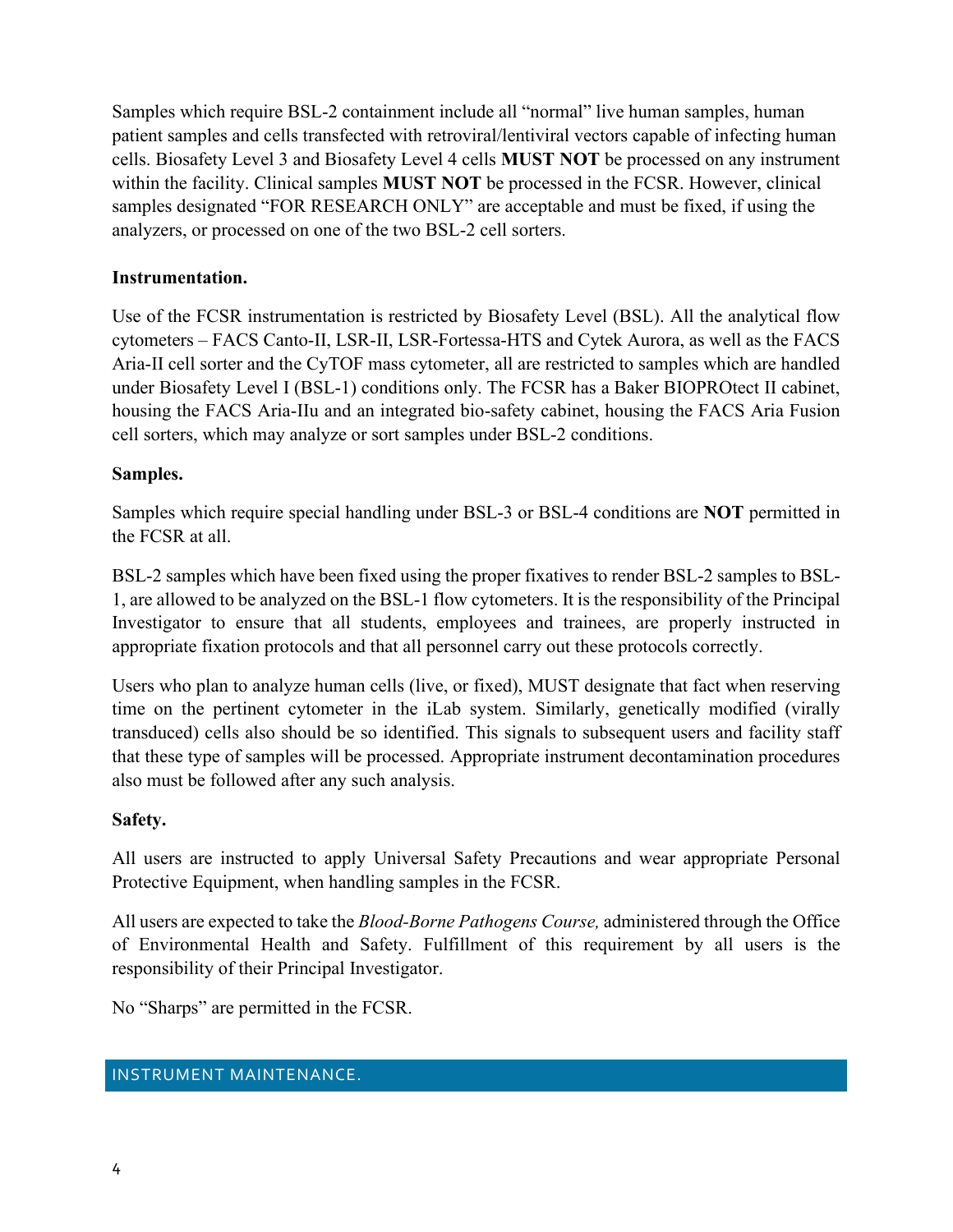Samples which require BSL-2 containment include all "normal" live human samples, human patient samples and cells transfected with retroviral/lentiviral vectors capable of infecting human cells. Biosafety Level 3 and Biosafety Level 4 cells **MUST NOT** be processed on any instrument within the facility. Clinical samples **MUST NOT** be processed in the FCSR. However, clinical samples designated "FOR RESEARCH ONLY" are acceptable and must be fixed, if using the analyzers, or processed on one of the two BSL-2 cell sorters.

# **Instrumentation.**

Use of the FCSR instrumentation is restricted by Biosafety Level (BSL). All the analytical flow cytometers – FACS Canto-II, LSR-II, LSR-Fortessa-HTS and Cytek Aurora, as well as the FACS Aria-II cell sorter and the CyTOF mass cytometer, all are restricted to samples which are handled under Biosafety Level I (BSL-1) conditions only. The FCSR has a Baker BIOPROtect II cabinet, housing the FACS Aria-IIu and an integrated bio-safety cabinet, housing the FACS Aria Fusion cell sorters, which may analyze or sort samples under BSL-2 conditions.

# **Samples.**

Samples which require special handling under BSL-3 or BSL-4 conditions are **NOT** permitted in the FCSR at all.

BSL-2 samples which have been fixed using the proper fixatives to render BSL-2 samples to BSL-1, are allowed to be analyzed on the BSL-1 flow cytometers. It is the responsibility of the Principal Investigator to ensure that all students, employees and trainees, are properly instructed in appropriate fixation protocols and that all personnel carry out these protocols correctly.

Users who plan to analyze human cells (live, or fixed), MUST designate that fact when reserving time on the pertinent cytometer in the iLab system. Similarly, genetically modified (virally transduced) cells also should be so identified. This signals to subsequent users and facility staff that these type of samples will be processed. Appropriate instrument decontamination procedures also must be followed after any such analysis.

# **Safety.**

All users are instructed to apply Universal Safety Precautions and wear appropriate Personal Protective Equipment, when handling samples in the FCSR.

All users are expected to take the *Blood-Borne Pathogens Course,* administered through the Office of Environmental Health and Safety. Fulfillment of this requirement by all users is the responsibility of their Principal Investigator.

No "Sharps" are permitted in the FCSR.

# INSTRUMENT MAINTENANCE.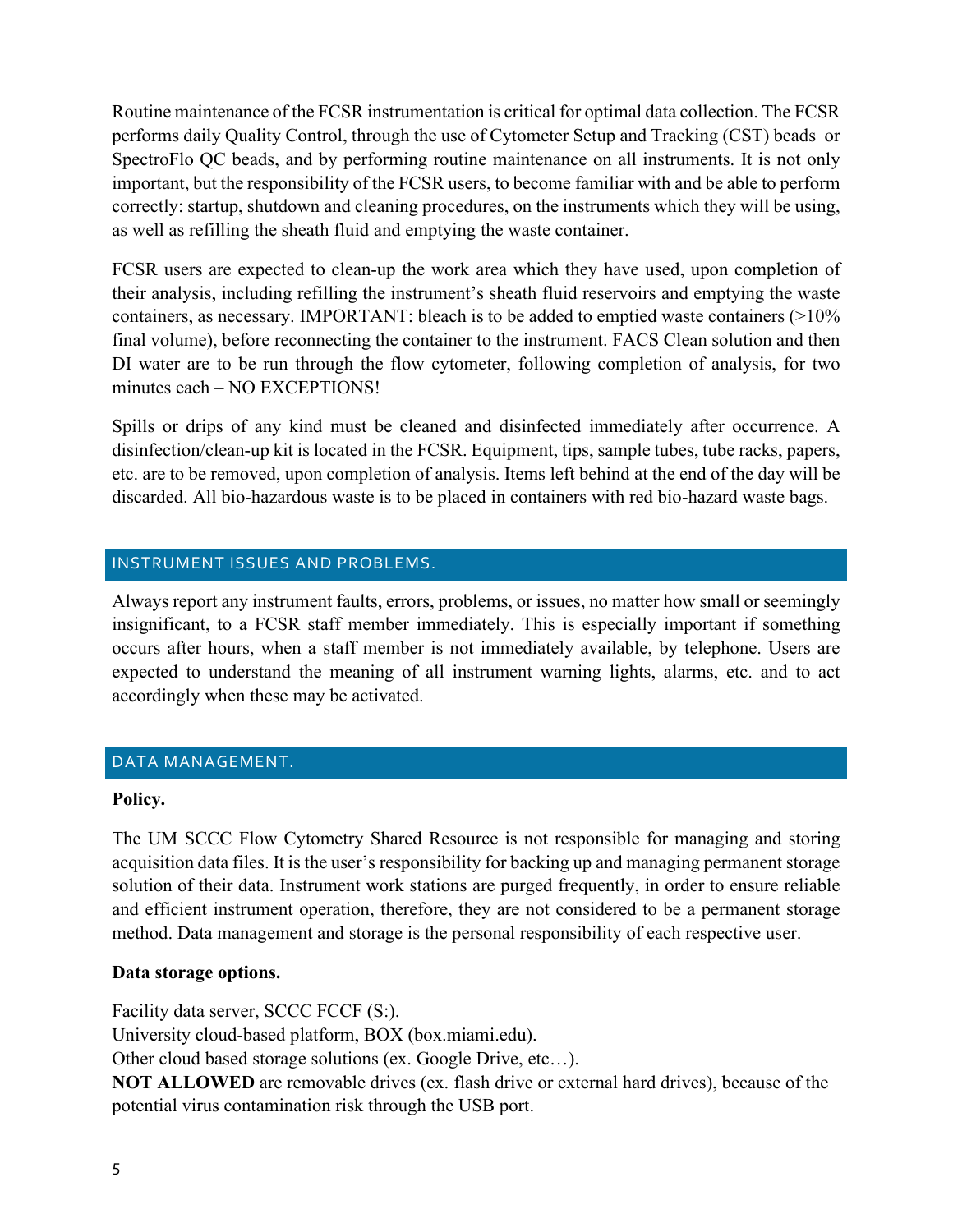Routine maintenance of the FCSR instrumentation is critical for optimal data collection. The FCSR performs daily Quality Control, through the use of Cytometer Setup and Tracking (CST) beads or SpectroFlo QC beads, and by performing routine maintenance on all instruments. It is not only important, but the responsibility of the FCSR users, to become familiar with and be able to perform correctly: startup, shutdown and cleaning procedures, on the instruments which they will be using, as well as refilling the sheath fluid and emptying the waste container.

FCSR users are expected to clean-up the work area which they have used, upon completion of their analysis, including refilling the instrument's sheath fluid reservoirs and emptying the waste containers, as necessary. IMPORTANT: bleach is to be added to emptied waste containers (>10% final volume), before reconnecting the container to the instrument. FACS Clean solution and then DI water are to be run through the flow cytometer, following completion of analysis, for two minutes each – NO EXCEPTIONS!

Spills or drips of any kind must be cleaned and disinfected immediately after occurrence. A disinfection/clean-up kit is located in the FCSR. Equipment, tips, sample tubes, tube racks, papers, etc. are to be removed, upon completion of analysis. Items left behind at the end of the day will be discarded. All bio-hazardous waste is to be placed in containers with red bio-hazard waste bags.

# INSTRUMENT ISSUES AND PROBLEMS.

Always report any instrument faults, errors, problems, or issues, no matter how small or seemingly insignificant, to a FCSR staff member immediately. This is especially important if something occurs after hours, when a staff member is not immediately available, by telephone. Users are expected to understand the meaning of all instrument warning lights, alarms, etc. and to act accordingly when these may be activated.

# DATA MANAGEMENT.

# **Policy.**

The UM SCCC Flow Cytometry Shared Resource is not responsible for managing and storing acquisition data files. It is the user's responsibility for backing up and managing permanent storage solution of their data. Instrument work stations are purged frequently, in order to ensure reliable and efficient instrument operation, therefore, they are not considered to be a permanent storage method. Data management and storage is the personal responsibility of each respective user.

# **Data storage options.**

Facility data server, SCCC FCCF (S:).

University cloud-based platform, BOX (box.miami.edu).

Other cloud based storage solutions (ex. Google Drive, etc…).

**NOT ALLOWED** are removable drives (ex. flash drive or external hard drives), because of the potential virus contamination risk through the USB port.